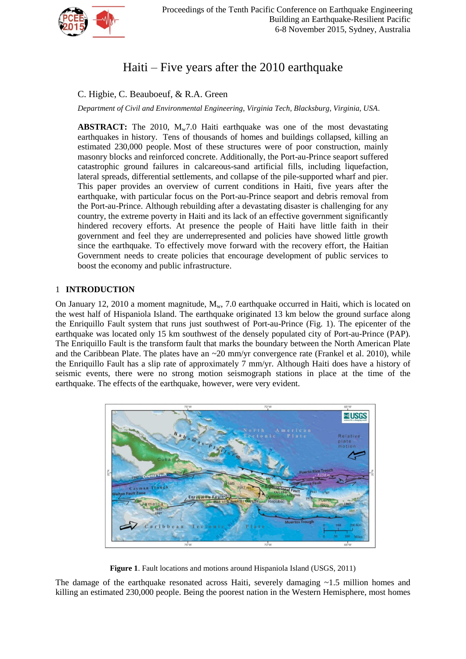

# Haiti – Five years after the 2010 earthquake

# C. Higbie, C. Beauboeuf, & R.A. Green

*Department of Civil and Environmental Engineering, Virginia Tech, Blacksburg, Virginia, USA.*

**ABSTRACT:** The 2010,  $M_w$ 7.0 Haiti earthquake was one of the most devastating earthquakes in history. Tens of thousands of homes and buildings collapsed, killing an estimated 230,000 people. Most of these structures were of poor construction, mainly masonry blocks and reinforced concrete. Additionally, the Port-au-Prince seaport suffered catastrophic ground failures in calcareous-sand artificial fills, including liquefaction, lateral spreads, differential settlements, and collapse of the pile-supported wharf and pier. This paper provides an overview of current conditions in Haiti, five years after the earthquake, with particular focus on the Port-au-Prince seaport and debris removal from the Port-au-Prince. Although rebuilding after a devastating disaster is challenging for any country, the extreme poverty in Haiti and its lack of an effective government significantly hindered recovery efforts. At presence the people of Haiti have little faith in their government and feel they are underrepresented and policies have showed little growth since the earthquake. To effectively move forward with the recovery effort, the Haitian Government needs to create policies that encourage development of public services to boost the economy and public infrastructure.

# 1 **INTRODUCTION**

On January 12, 2010 a moment magnitude,  $M_w$ , 7.0 earthquake occurred in Haiti, which is located on the west half of Hispaniola Island. The earthquake originated 13 km below the ground surface along the Enriquillo Fault system that runs just southwest of Port-au-Prince (Fig. 1). The epicenter of the earthquake was located only 15 km southwest of the densely populated city of Port-au-Prince (PAP). The Enriquillo Fault is the transform fault that marks the boundary between the North American Plate and the Caribbean Plate. The plates have an  $\sim 20$  mm/yr convergence rate (Frankel et al. 2010), while the Enriquillo Fault has a slip rate of approximately 7 mm/yr. Although Haiti does have a history of seismic events, there were no strong motion seismograph stations in place at the time of the earthquake. The effects of the earthquake, however, were very evident.



**Figure 1**. Fault locations and motions around Hispaniola Island (USGS, 2011)

The damage of the earthquake resonated across Haiti, severely damaging  $\sim$ 1.5 million homes and killing an estimated 230,000 people. Being the poorest nation in the Western Hemisphere, most homes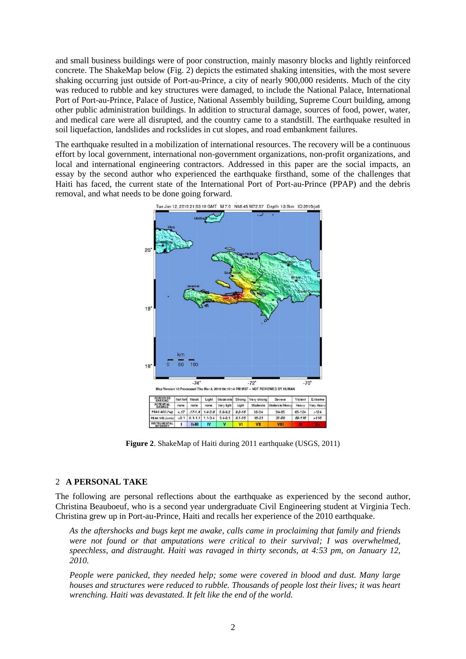and small business buildings were of poor construction, mainly masonry blocks and lightly reinforced concrete. The ShakeMap below (Fig. 2) depicts the estimated shaking intensities, with the most severe shaking occurring just outside of Port-au-Prince, a city of nearly 900,000 residents. Much of the city was reduced to rubble and key structures were damaged, to include the National Palace, International Port of Port-au-Prince, Palace of Justice, National Assembly building, Supreme Court building, among other public administration buildings. In addition to structural damage, sources of food, power, water, and medical care were all disrupted, and the country came to a standstill. The earthquake resulted in soil liquefaction, landslides and rockslides in cut slopes, and road embankment failures.

The earthquake resulted in a mobilization of international resources. The recovery will be a continuous effort by local government, international non-government organizations, non-profit organizations, and local and international engineering contractors. Addressed in this paper are the social impacts, an essay by the second author who experienced the earthquake firsthand, some of the challenges that Haiti has faced, the current state of the International Port of Port-au-Prince (PPAP) and the debris removal, and what needs to be done going forward.



**Figure 2**. ShakeMap of Haiti during 2011 earthquake (USGS, 2011)

# 2 **A PERSONAL TAKE**

The following are personal reflections about the earthquake as experienced by the second author, Christina Beauboeuf, who is a second year undergraduate Civil Engineering student at Virginia Tech. Christina grew up in Port-au-Prince, Haiti and recalls her experience of the 2010 earthquake.

*As the aftershocks and bugs kept me awake, calls came in proclaiming that family and friends were not found or that amputations were critical to their survival; I was overwhelmed, speechless, and distraught. Haiti was ravaged in thirty seconds, at 4:53 pm, on January 12, 2010.* 

*People were panicked, they needed help; some were covered in blood and dust. Many large houses and structures were reduced to rubble. Thousands of people lost their lives; it was heart wrenching. Haiti was devastated. It felt like the end of the world.*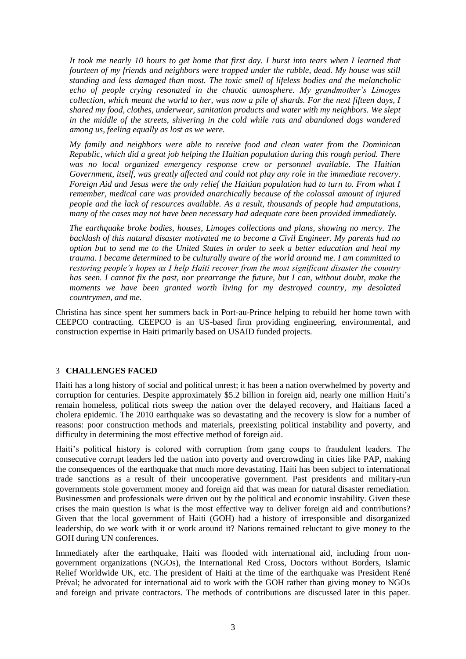*It took me nearly 10 hours to get home that first day. I burst into tears when I learned that fourteen of my friends and neighbors were trapped under the rubble, dead. My house was still standing and less damaged than most. The toxic smell of lifeless bodies and the melancholic echo of people crying resonated in the chaotic atmosphere. My grandmother's Limoges collection, which meant the world to her, was now a pile of shards. For the next fifteen days, I shared my food, clothes, underwear, sanitation products and water with my neighbors. We slept in the middle of the streets, shivering in the cold while rats and abandoned dogs wandered among us, feeling equally as lost as we were.* 

*My family and neighbors were able to receive food and clean water from the Dominican Republic, which did a great job helping the Haitian population during this rough period. There was no local organized emergency response crew or personnel available. The Haitian*  Government, itself, was greatly affected and could not play any role in the immediate recovery. *Foreign Aid and Jesus were the only relief the Haitian population had to turn to. From what I remember, medical care was provided anarchically because of the colossal amount of injured people and the lack of resources available. As a result, thousands of people had amputations, many of the cases may not have been necessary had adequate care been provided immediately.* 

*The earthquake broke bodies, houses, Limoges collections and plans, showing no mercy. The backlash of this natural disaster motivated me to become a Civil Engineer. My parents had no option but to send me to the United States in order to seek a better education and heal my trauma. I became determined to be culturally aware of the world around me. I am committed to restoring people's hopes as I help Haiti recover from the most significant disaster the country has seen. I cannot fix the past, nor prearrange the future, but I can, without doubt, make the moments we have been granted worth living for my destroyed country, my desolated countrymen, and me.*

Christina has since spent her summers back in Port-au-Prince helping to rebuild her home town with CEEPCO contracting. CEEPCO is an US-based firm providing engineering, environmental, and construction expertise in Haiti primarily based on USAID funded projects.

# 3 **CHALLENGES FACED**

Haiti has a long history of social and political unrest; it has been a nation overwhelmed by poverty and corruption for centuries. Despite approximately \$5.2 billion in foreign aid, nearly one million Haiti's remain homeless, political riots sweep the nation over the delayed recovery, and Haitians faced a cholera epidemic. The 2010 earthquake was so devastating and the recovery is slow for a number of reasons: poor construction methods and materials, preexisting political instability and poverty, and difficulty in determining the most effective method of foreign aid.

Haiti's political history is colored with corruption from gang coups to fraudulent leaders. The consecutive corrupt leaders led the nation into poverty and overcrowding in cities like PAP, making the consequences of the earthquake that much more devastating. Haiti has been subject to international trade sanctions as a result of their uncooperative government. Past presidents and military-run governments stole government money and foreign aid that was mean for natural disaster remediation. Businessmen and professionals were driven out by the political and economic instability. Given these crises the main question is what is the most effective way to deliver foreign aid and contributions? Given that the local government of Haiti (GOH) had a history of irresponsible and disorganized leadership, do we work with it or work around it? Nations remained reluctant to give money to the GOH during UN conferences.

Immediately after the earthquake, Haiti was flooded with international aid, including from nongovernment organizations (NGOs), the International Red Cross, Doctors without Borders, Islamic Relief Worldwide UK, etc. The president of Haiti at the time of the earthquake was President René Préval; he advocated for international aid to work with the GOH rather than giving money to NGOs and foreign and private contractors. The methods of contributions are discussed later in this paper.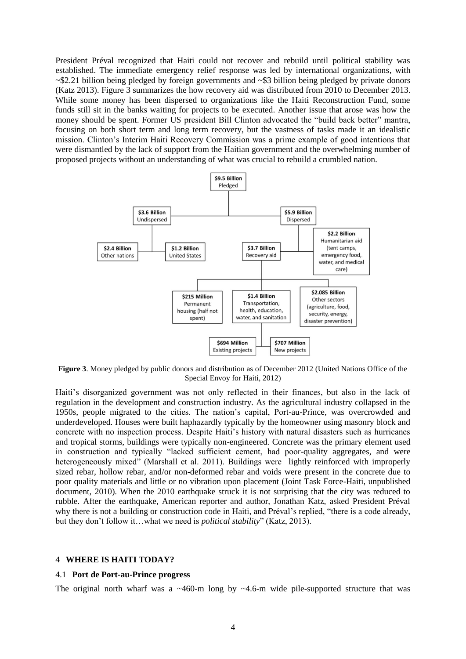President Préval recognized that Haiti could not recover and rebuild until political stability was established. The immediate emergency relief response was led by international organizations, with ~\$2.21 billion being pledged by foreign governments and ~\$3 billion being pledged by private donors (Katz 2013). Figure 3 summarizes the how recovery aid was distributed from 2010 to December 2013. While some money has been dispersed to organizations like the Haiti Reconstruction Fund, some funds still sit in the banks waiting for projects to be executed. Another issue that arose was how the money should be spent. Former US president Bill Clinton advocated the "build back better" mantra, focusing on both short term and long term recovery, but the vastness of tasks made it an idealistic mission. Clinton's Interim Haiti Recovery Commission was a prime example of good intentions that were dismantled by the lack of support from the Haitian government and the overwhelming number of proposed projects without an understanding of what was crucial to rebuild a crumbled nation.



**Figure 3**. Money pledged by public donors and distribution as of December 2012 (United Nations Office of the Special Envoy for Haiti, 2012)

Haiti's disorganized government was not only reflected in their finances, but also in the lack of regulation in the development and construction industry. As the agricultural industry collapsed in the 1950s, people migrated to the cities. The nation's capital, Port-au-Prince, was overcrowded and underdeveloped. Houses were built haphazardly typically by the homeowner using masonry block and concrete with no inspection process. Despite Haiti's history with natural disasters such as hurricanes and tropical storms, buildings were typically non-engineered. Concrete was the primary element used in construction and typically "lacked sufficient cement, had poor-quality aggregates, and were heterogeneously mixed" (Marshall et al. 2011). Buildings were lightly reinforced with improperly sized rebar, hollow rebar, and/or non-deformed rebar and voids were present in the concrete due to poor quality materials and little or no vibration upon placement (Joint Task Force-Haiti, unpublished document, 2010). When the 2010 earthquake struck it is not surprising that the city was reduced to rubble. After the earthquake, American reporter and author, Jonathan Katz, asked President Préval why there is not a building or construction code in Haiti, and Préval's replied, "there is a code already, but they don't follow it…what we need is *political stability*" (Katz, 2013).

#### 4 **WHERE IS HAITI TODAY?**

#### 4.1 **Port de Port-au-Prince progress**

The original north wharf was a  $\sim$ 460-m long by  $\sim$ 4.6-m wide pile-supported structure that was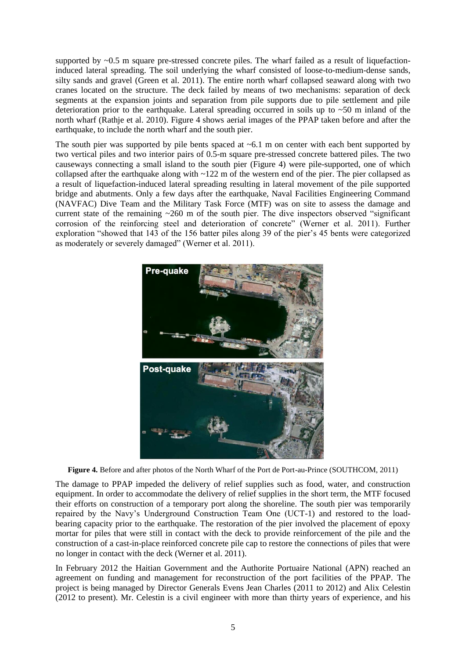supported by ~0.5 m square pre-stressed concrete piles. The wharf failed as a result of liquefactioninduced lateral spreading. The soil underlying the wharf consisted of loose-to-medium-dense sands, silty sands and gravel (Green et al. 2011). The entire north wharf collapsed seaward along with two cranes located on the structure. The deck failed by means of two mechanisms: separation of deck segments at the expansion joints and separation from pile supports due to pile settlement and pile deterioration prior to the earthquake. Lateral spreading occurred in soils up to ~50 m inland of the north wharf (Rathje et al. 2010). Figure 4 shows aerial images of the PPAP taken before and after the earthquake, to include the north wharf and the south pier.

The south pier was supported by pile bents spaced at  $\sim 6.1$  m on center with each bent supported by two vertical piles and two interior pairs of 0.5-m square pre-stressed concrete battered piles. The two causeways connecting a small island to the south pier (Figure 4) were pile-supported, one of which collapsed after the earthquake along with ~122 m of the western end of the pier. The pier collapsed as a result of liquefaction-induced lateral spreading resulting in lateral movement of the pile supported bridge and abutments. Only a few days after the earthquake, Naval Facilities Engineering Command (NAVFAC) Dive Team and the Military Task Force (MTF) was on site to assess the damage and current state of the remaining ~260 m of the south pier. The dive inspectors observed "significant corrosion of the reinforcing steel and deterioration of concrete" (Werner et al. 2011). Further exploration "showed that 143 of the 156 batter piles along 39 of the pier's 45 bents were categorized as moderately or severely damaged" (Werner et al. 2011).



**Figure 4.** Before and after photos of the North Wharf of the Port de Port-au-Prince (SOUTHCOM, 2011)

The damage to PPAP impeded the delivery of relief supplies such as food, water, and construction equipment. In order to accommodate the delivery of relief supplies in the short term, the MTF focused their efforts on construction of a temporary port along the shoreline. The south pier was temporarily repaired by the Navy's Underground Construction Team One (UCT-1) and restored to the loadbearing capacity prior to the earthquake. The restoration of the pier involved the placement of epoxy mortar for piles that were still in contact with the deck to provide reinforcement of the pile and the construction of a cast-in-place reinforced concrete pile cap to restore the connections of piles that were no longer in contact with the deck (Werner et al. 2011).

In February 2012 the Haitian Government and the Authorite Portuaire National (APN) reached an agreement on funding and management for reconstruction of the port facilities of the PPAP. The project is being managed by Director Generals Evens Jean Charles (2011 to 2012) and Alix Celestin (2012 to present). Mr. Celestin is a civil engineer with more than thirty years of experience, and his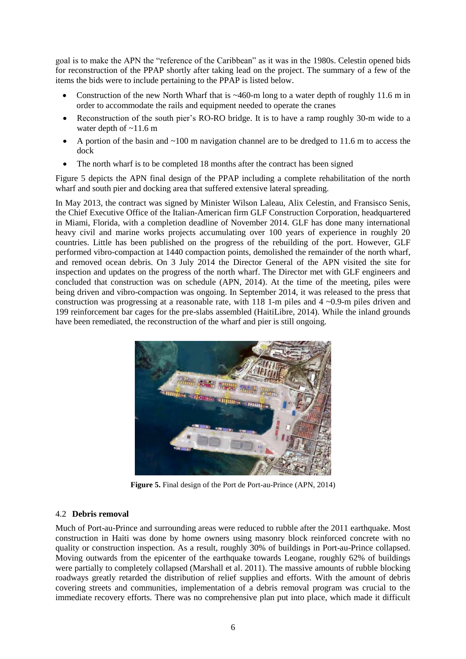goal is to make the APN the "reference of the Caribbean" as it was in the 1980s. Celestin opened bids for reconstruction of the PPAP shortly after taking lead on the project. The summary of a few of the items the bids were to include pertaining to the PPAP is listed below.

- Construction of the new North Wharf that is  $~460~$ -m long to a water depth of roughly 11.6 m in order to accommodate the rails and equipment needed to operate the cranes
- Reconstruction of the south pier's RO-RO bridge. It is to have a ramp roughly 30-m wide to a water depth of  $\sim$ 11.6 m
- A portion of the basin and ~100 m navigation channel are to be dredged to 11.6 m to access the dock
- The north wharf is to be completed 18 months after the contract has been signed

Figure 5 depicts the APN final design of the PPAP including a complete rehabilitation of the north wharf and south pier and docking area that suffered extensive lateral spreading.

In May 2013, the contract was signed by Minister Wilson Laleau, Alix Celestin, and Fransisco Senis, the Chief Executive Office of the Italian-American firm GLF Construction Corporation, headquartered in Miami, Florida, with a completion deadline of November 2014. GLF has done many international heavy civil and marine works projects accumulating over 100 years of experience in roughly 20 countries. Little has been published on the progress of the rebuilding of the port. However, GLF performed vibro-compaction at 1440 compaction points, demolished the remainder of the north wharf, and removed ocean debris. On 3 July 2014 the Director General of the APN visited the site for inspection and updates on the progress of the north wharf. The Director met with GLF engineers and concluded that construction was on schedule (APN, 2014). At the time of the meeting, piles were being driven and vibro-compaction was ongoing. In September 2014, it was released to the press that construction was progressing at a reasonable rate, with  $118$  1-m piles and  $4 \sim 0.9$ -m piles driven and 199 reinforcement bar cages for the pre-slabs assembled (HaitiLibre, 2014). While the inland grounds have been remediated, the reconstruction of the wharf and pier is still ongoing.



**Figure 5.** Final design of the Port de Port-au-Prince (APN, 2014)

# 4.2 **Debris removal**

Much of Port-au-Prince and surrounding areas were reduced to rubble after the 2011 earthquake. Most construction in Haiti was done by home owners using masonry block reinforced concrete with no quality or construction inspection. As a result, roughly 30% of buildings in Port-au-Prince collapsed. Moving outwards from the epicenter of the earthquake towards Leogane, roughly 62% of buildings were partially to completely collapsed (Marshall et al. 2011). The massive amounts of rubble blocking roadways greatly retarded the distribution of relief supplies and efforts. With the amount of debris covering streets and communities, implementation of a debris removal program was crucial to the immediate recovery efforts. There was no comprehensive plan put into place, which made it difficult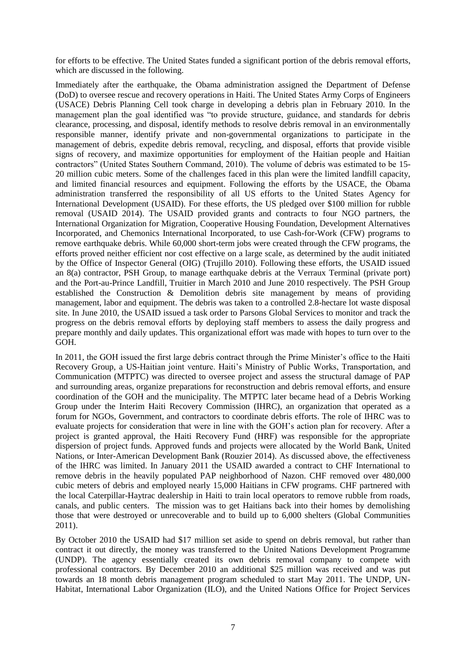for efforts to be effective. The United States funded a significant portion of the debris removal efforts, which are discussed in the following.

Immediately after the earthquake, the Obama administration assigned the Department of Defense (DoD) to oversee rescue and recovery operations in Haiti. The United States Army Corps of Engineers (USACE) Debris Planning Cell took charge in developing a debris plan in February 2010. In the management plan the goal identified was "to provide structure, guidance, and standards for debris clearance, processing, and disposal, identify methods to resolve debris removal in an environmentally responsible manner, identify private and non-governmental organizations to participate in the management of debris, expedite debris removal, recycling, and disposal, efforts that provide visible signs of recovery, and maximize opportunities for employment of the Haitian people and Haitian contractors" (United States Southern Command, 2010). The volume of debris was estimated to be 15- 20 million cubic meters. Some of the challenges faced in this plan were the limited landfill capacity, and limited financial resources and equipment. Following the efforts by the USACE, the Obama administration transferred the responsibility of all US efforts to the United States Agency for International Development (USAID). For these efforts, the US pledged over \$100 million for rubble removal (USAID 2014). The USAID provided grants and contracts to four NGO partners, the International Organization for Migration, Cooperative Housing Foundation, Development Alternatives Incorporated, and Chemonics International Incorporated, to use Cash-for-Work (CFW) programs to remove earthquake debris. While 60,000 short-term jobs were created through the CFW programs, the efforts proved neither efficient nor cost effective on a large scale, as determined by the audit initiated by the Office of Inspector General (OIG) (Trujillo 2010). Following these efforts, the USAID issued an 8(a) contractor, PSH Group, to manage earthquake debris at the Verraux Terminal (private port) and the Port-au-Prince Landfill, Truitier in March 2010 and June 2010 respectively. The PSH Group established the Construction & Demolition debris site management by means of providing management, labor and equipment. The debris was taken to a controlled 2.8-hectare lot waste disposal site. In June 2010, the USAID issued a task order to Parsons Global Services to monitor and track the progress on the debris removal efforts by deploying staff members to assess the daily progress and prepare monthly and daily updates. This organizational effort was made with hopes to turn over to the GOH.

In 2011, the GOH issued the first large debris contract through the Prime Minister's office to the Haiti Recovery Group, a US-Haitian joint venture. Haiti's Ministry of Public Works, Transportation, and Communication (MTPTC) was directed to oversee project and assess the structural damage of PAP and surrounding areas, organize preparations for reconstruction and debris removal efforts, and ensure coordination of the GOH and the municipality. The MTPTC later became head of a Debris Working Group under the Interim Haiti Recovery Commission (IHRC), an organization that operated as a forum for NGOs, Government, and contractors to coordinate debris efforts. The role of IHRC was to evaluate projects for consideration that were in line with the GOH's action plan for recovery. After a project is granted approval, the Haiti Recovery Fund (HRF) was responsible for the appropriate dispersion of project funds. Approved funds and projects were allocated by the World Bank, United Nations, or Inter-American Development Bank (Rouzier 2014). As discussed above, the effectiveness of the IHRC was limited. In January 2011 the USAID awarded a contract to CHF International to remove debris in the heavily populated PAP neighborhood of Nazon. CHF removed over 480,000 cubic meters of debris and employed nearly 15,000 Haitians in CFW programs. CHF partnered with the local Caterpillar-Haytrac dealership in Haiti to train local operators to remove rubble from roads, canals, and public centers. The mission was to get Haitians back into their homes by demolishing those that were destroyed or unrecoverable and to build up to 6,000 shelters (Global Communities 2011).

By October 2010 the USAID had \$17 million set aside to spend on debris removal, but rather than contract it out directly, the money was transferred to the United Nations Development Programme (UNDP). The agency essentially created its own debris removal company to compete with professional contractors. By December 2010 an additional \$25 million was received and was put towards an 18 month debris management program scheduled to start May 2011. The UNDP, UN-Habitat, International Labor Organization (ILO), and the United Nations Office for Project Services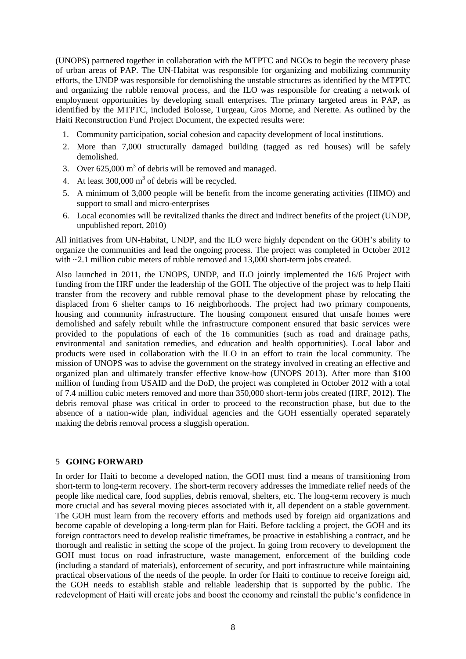(UNOPS) partnered together in collaboration with the MTPTC and NGOs to begin the recovery phase of urban areas of PAP. The UN-Habitat was responsible for organizing and mobilizing community efforts, the UNDP was responsible for demolishing the unstable structures as identified by the MTPTC and organizing the rubble removal process, and the ILO was responsible for creating a network of employment opportunities by developing small enterprises. The primary targeted areas in PAP, as identified by the MTPTC, included Bolosse, Turgeau, Gros Morne, and Nerette. As outlined by the Haiti Reconstruction Fund Project Document, the expected results were:

- 1. Community participation, social cohesion and capacity development of local institutions.
- 2. More than 7,000 structurally damaged building (tagged as red houses) will be safely demolished.
- 3. Over  $625,000 \text{ m}^3$  of debris will be removed and managed.
- 4. At least  $300,000 \text{ m}^3$  of debris will be recycled.
- 5. A minimum of 3,000 people will be benefit from the income generating activities (HIMO) and support to small and micro-enterprises
- 6. Local economies will be revitalized thanks the direct and indirect benefits of the project (UNDP, unpublished report, 2010)

All initiatives from UN-Habitat, UNDP, and the ILO were highly dependent on the GOH's ability to organize the communities and lead the ongoing process. The project was completed in October 2012 with  $\sim$  2.1 million cubic meters of rubble removed and 13,000 short-term jobs created.

Also launched in 2011, the UNOPS, UNDP, and ILO jointly implemented the 16/6 Project with funding from the HRF under the leadership of the GOH. The objective of the project was to help Haiti transfer from the recovery and rubble removal phase to the development phase by relocating the displaced from 6 shelter camps to 16 neighborhoods. The project had two primary components, housing and community infrastructure. The housing component ensured that unsafe homes were demolished and safely rebuilt while the infrastructure component ensured that basic services were provided to the populations of each of the 16 communities (such as road and drainage paths, environmental and sanitation remedies, and education and health opportunities). Local labor and products were used in collaboration with the ILO in an effort to train the local community. The mission of UNOPS was to advise the government on the strategy involved in creating an effective and organized plan and ultimately transfer effective know-how (UNOPS 2013). After more than \$100 million of funding from USAID and the DoD, the project was completed in October 2012 with a total of 7.4 million cubic meters removed and more than 350,000 short-term jobs created (HRF, 2012). The debris removal phase was critical in order to proceed to the reconstruction phase, but due to the absence of a nation-wide plan, individual agencies and the GOH essentially operated separately making the debris removal process a sluggish operation.

# 5 **GOING FORWARD**

In order for Haiti to become a developed nation, the GOH must find a means of transitioning from short-term to long-term recovery. The short-term recovery addresses the immediate relief needs of the people like medical care, food supplies, debris removal, shelters, etc. The long-term recovery is much more crucial and has several moving pieces associated with it, all dependent on a stable government. The GOH must learn from the recovery efforts and methods used by foreign aid organizations and become capable of developing a long-term plan for Haiti. Before tackling a project, the GOH and its foreign contractors need to develop realistic timeframes, be proactive in establishing a contract, and be thorough and realistic in setting the scope of the project. In going from recovery to development the GOH must focus on road infrastructure, waste management, enforcement of the building code (including a standard of materials), enforcement of security, and port infrastructure while maintaining practical observations of the needs of the people. In order for Haiti to continue to receive foreign aid, the GOH needs to establish stable and reliable leadership that is supported by the public. The redevelopment of Haiti will create jobs and boost the economy and reinstall the public's confidence in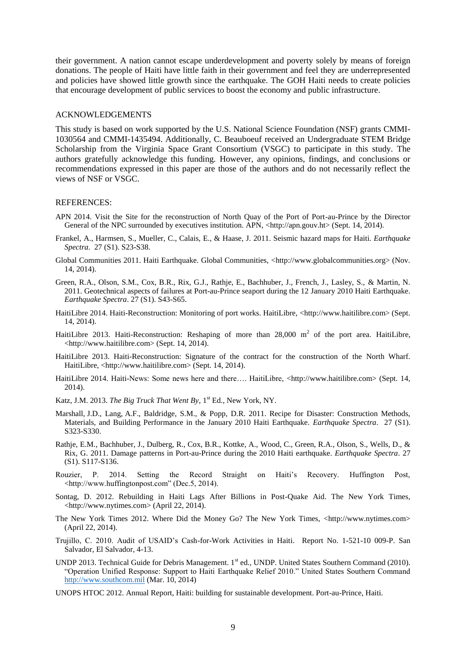their government. A nation cannot escape underdevelopment and poverty solely by means of foreign donations. The people of Haiti have little faith in their government and feel they are underrepresented and policies have showed little growth since the earthquake. The GOH Haiti needs to create policies that encourage development of public services to boost the economy and public infrastructure.

#### ACKNOWLEDGEMENTS

This study is based on work supported by the U.S. National Science Foundation (NSF) grants CMMI-1030564 and CMMI-1435494. Additionally, C. Beauboeuf received an Undergraduate STEM Bridge Scholarship from the Virginia Space Grant Consortium (VSGC) to participate in this study. The authors gratefully acknowledge this funding. However, any opinions, findings, and conclusions or recommendations expressed in this paper are those of the authors and do not necessarily reflect the views of NSF or VSGC.

#### REFERENCES:

- APN 2014. Visit the Site for the reconstruction of North Quay of the Port of Port-au-Prince by the Director General of the NPC surrounded by executives institution. APN,  $\langle \text{http://apn.gov.ht>}(Sept. 14, 2014).$
- Frankel, A., Harmsen, S., Mueller, C., Calais, E., & Haase, J. 2011. Seismic hazard maps for Haiti. *Earthquake Spectra*. 27 (S1). S23-S38.
- Global Communities 2011. Haiti Earthquake. Global Communities, <http://www.globalcommunities.org> (Nov. 14, 2014).
- Green, R.A., Olson, S.M., Cox, B.R., Rix, G.J., Rathje, E., Bachhuber, J., French, J., Lasley, S., & Martin, N. 2011. Geotechnical aspects of failures at Port-au-Prince seaport during the 12 January 2010 Haiti Earthquake. *Earthquake Spectra*. 27 (S1). S43-S65.
- HaitiLibre 2014. Haiti-Reconstruction: Monitoring of port works. HaitiLibre, <http://www.haitilibre.com> (Sept. 14, 2014).
- HaitiLibre 2013. Haiti-Reconstruction: Reshaping of more than  $28,000 \text{ m}^2$  of the port area. HaitiLibre, <http://www.haitilibre.com> (Sept. 14, 2014).
- HaitiLibre 2013. Haiti-Reconstruction: Signature of the contract for the construction of the North Wharf. HaitiLibre, <http://www.haitilibre.com> (Sept. 14, 2014).
- HaitiLibre 2014. Haiti-News: Some news here and there…. HaitiLibre, <http://www.haitilibre.com> (Sept. 14, 2014).
- Katz, J.M. 2013. *The Big Truck That Went By*, 1<sup>st</sup> Ed., New York, NY.
- Marshall, J.D., Lang, A.F., Baldridge, S.M., & Popp, D.R. 2011. Recipe for Disaster: Construction Methods, Materials, and Building Performance in the January 2010 Haiti Earthquake. *Earthquake Spectra*. 27 (S1). S323-S330.
- Rathje, E.M., Bachhuber, J., Dulberg, R., Cox, B.R., Kottke, A., Wood, C., Green, R.A., Olson, S., Wells, D., & Rix, G. 2011. Damage patterns in Port-au-Prince during the 2010 Haiti earthquake. *Earthquake Spectra*. 27 (S1). S117-S136.
- Rouzier, P. 2014. Setting the Record Straight on Haiti's Recovery. Huffington Post, <http://www.huffingtonpost.com" (Dec.5, 2014).
- Sontag, D. 2012. Rebuilding in Haiti Lags After Billions in Post-Quake Aid. The New York Times, <http://www.nytimes.com> (April 22, 2014).
- The New York Times 2012. Where Did the Money Go? The New York Times, <http://www.nytimes.com> (April 22, 2014).
- Trujillo, C. 2010. Audit of USAID's Cash-for-Work Activities in Haiti. Report No. 1-521-10 009-P. San Salvador, El Salvador, 4-13.
- UNDP 2013. Technical Guide for Debris Management. 1<sup>st</sup> ed., UNDP. United States Southern Command (2010). "Operation Unified Response: Support to Haiti Earthquake Relief 2010." United States Southern Command [http://www.southcom.mil](http://www.southcom.mil/) (Mar. 10, 2014)
- UNOPS HTOC 2012. Annual Report, Haiti: building for sustainable development. Port-au-Prince, Haiti.